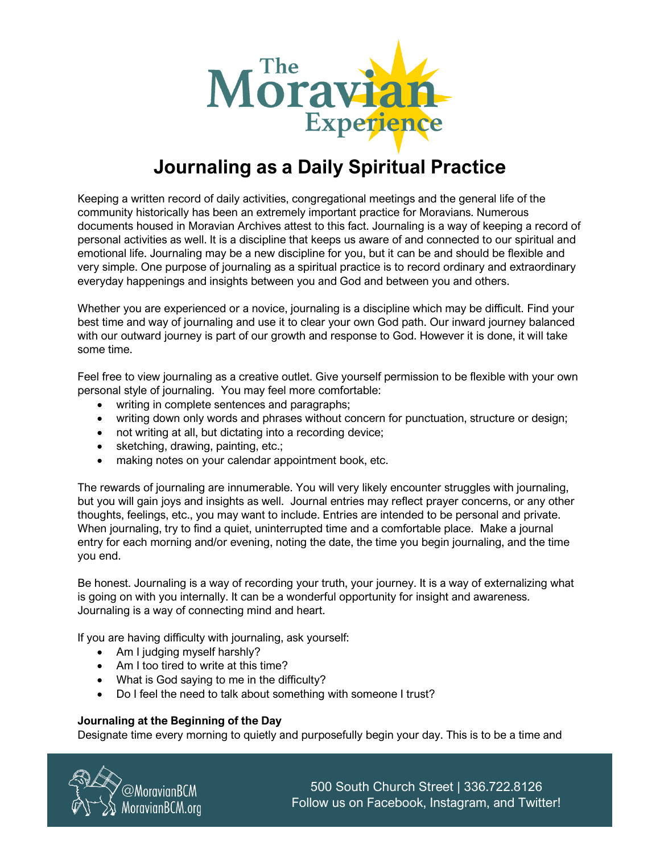

## **Journaling as a Daily Spiritual Practice**

Keeping a written record of daily activities, congregational meetings and the general life of the community historically has been an extremely important practice for Moravians. Numerous documents housed in Moravian Archives attest to this fact. Journaling is a way of keeping a record of personal activities as well. It is a discipline that keeps us aware of and connected to our spiritual and emotional life. Journaling may be a new discipline for you, but it can be and should be flexible and very simple. One purpose of journaling as a spiritual practice is to record ordinary and extraordinary everyday happenings and insights between you and God and between you and others.

Whether you are experienced or a novice, journaling is a discipline which may be difficult. Find your best time and way of journaling and use it to clear your own God path. Our inward journey balanced with our outward journey is part of our growth and response to God. However it is done, it will take some time.

Feel free to view journaling as a creative outlet. Give yourself permission to be flexible with your own personal style of journaling. You may feel more comfortable:

- writing in complete sentences and paragraphs;
- writing down only words and phrases without concern for punctuation, structure or design;
- not writing at all, but dictating into a recording device;
- sketching, drawing, painting, etc.;
- making notes on your calendar appointment book, etc.

The rewards of journaling are innumerable. You will very likely encounter struggles with journaling, but you will gain joys and insights as well. Journal entries may reflect prayer concerns, or any other thoughts, feelings, etc., you may want to include. Entries are intended to be personal and private. When journaling, try to find a quiet, uninterrupted time and a comfortable place. Make a journal entry for each morning and/or evening, noting the date, the time you begin journaling, and the time you end.

Be honest. Journaling is a way of recording your truth, your journey. It is a way of externalizing what is going on with you internally. It can be a wonderful opportunity for insight and awareness. Journaling is a way of connecting mind and heart.

If you are having difficulty with journaling, ask yourself:

- Am I judging myself harshly?
- Am I too tired to write at this time?
- What is God saying to me in the difficulty?
- Do I feel the need to talk about something with someone I trust?

## **Journaling at the Beginning of the Day**

Designate time every morning to quietly and purposefully begin your day. This is to be a time and



500 South Church Street | 336.722.8126 Follow us on Facebook, Instagram, and Twitter!